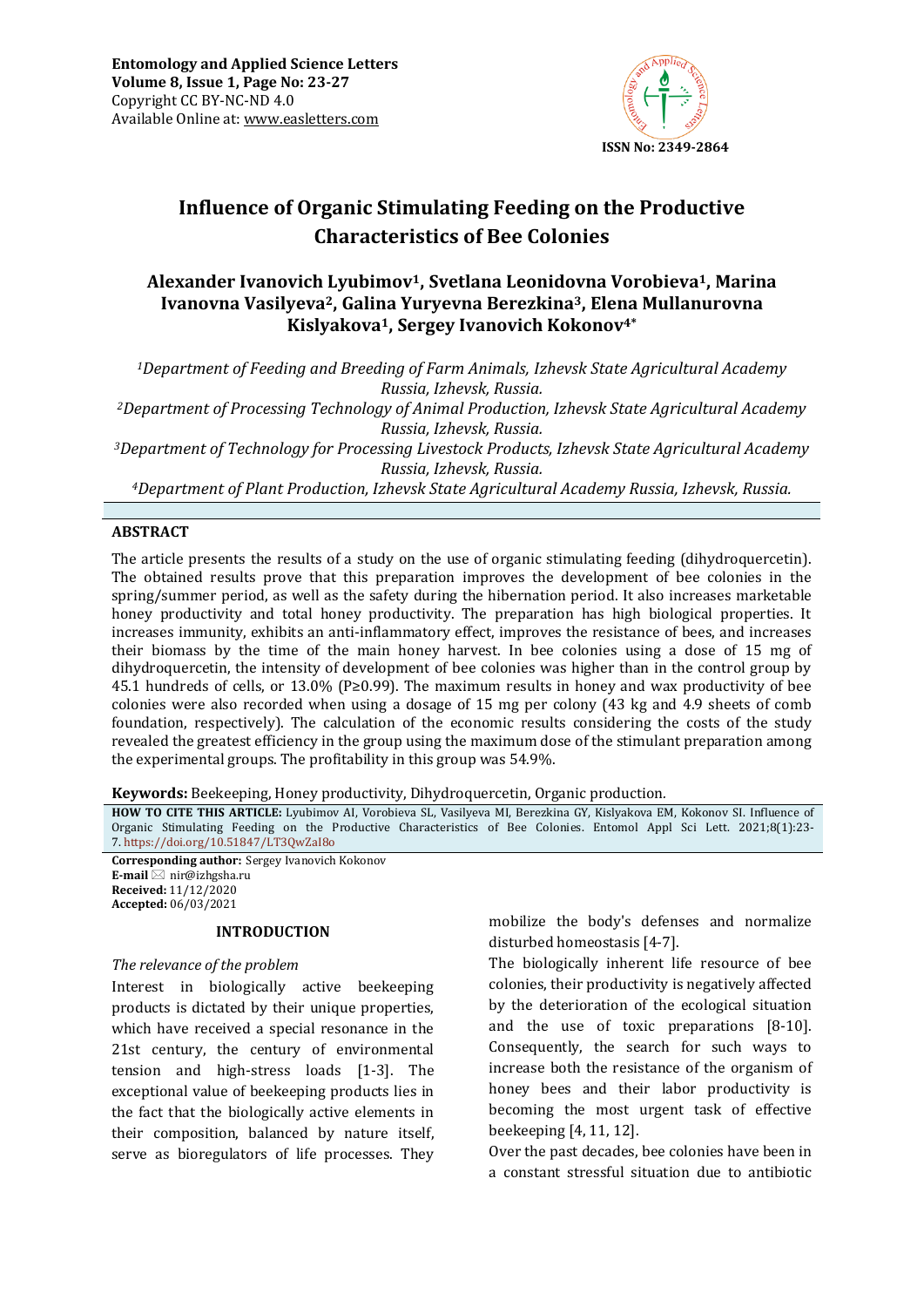

# **Influence of Organic Stimulating Feeding on the Productive Characteristics of Bee Colonies**

# **Alexander Ivanovich Lyubimov1, Svetlana Leonidovna Vorobieva1, Marina Ivanovna Vasilyeva2, Galina Yuryevna Berezkina3, Elena Mullanurovna Kislyakova1, Sergey Ivanovich Kokonov4\***

*<sup>1</sup>Department of Feeding and Breeding of Farm Animals, Izhevsk State Agricultural Academy Russia, Izhevsk, Russia.*

*<sup>2</sup>Department of Processing Technology of Animal Production, Izhevsk State Agricultural Academy Russia, Izhevsk, Russia.*

*<sup>3</sup>Department of Technology for Processing Livestock Products, Izhevsk State Agricultural Academy Russia, Izhevsk, Russia.*

*<sup>4</sup>Department of Plant Production, Izhevsk State Agricultural Academy Russia, Izhevsk, Russia.*

#### **ABSTRACT**

The article presents the results of a study on the use of organic stimulating feeding (dihydroquercetin). The obtained results prove that this preparation improves the development of bee colonies in the spring/summer period, as well as the safety during the hibernation period. It also increases marketable honey productivity and total honey productivity. The preparation has high biological properties. It increases immunity, exhibits an anti-inflammatory effect, improves the resistance of bees, and increases their biomass by the time of the main honey harvest. In bee colonies using a dose of 15 mg of dihydroquercetin, the intensity of development of bee colonies was higher than in the control group by 45.1 hundreds of cells, or 13.0% (P≥0.99). The maximum results in honey and wax productivity of bee colonies were also recorded when using a dosage of 15 mg per colony (43 kg and 4.9 sheets of comb foundation, respectively). The calculation of the economic results considering the costs of the study revealed the greatest efficiency in the group using the maximum dose of the stimulant preparation among the experimental groups. The profitability in this group was 54.9%.

**Keywords:** Beekeeping, Honey productivity, Dihydroquercetin, Organic production*.*

**HOW TO CITE THIS ARTICLE:** Lyubimov AI, Vorobieva SL, Vasilyeva MI, Berezkina GY, Kislyakova EM, Kokonov SI. Influence of Organic Stimulating Feeding on the Productive Characteristics of Bee Colonies. Entomol Appl Sci Lett. 2021;8(1):23- 7. <https://doi.org/10.51847/LT3QwZaI8o>

**Corresponding author:** Sergey Ivanovich Kokonov **E-mail** ⊠ nir@izhgsha.ru **Received:** 11/12/2020 **Accepted:** 06/03/2021

#### **INTRODUCTION**

#### *The relevance of the problem*

Interest in biologically active beekeeping products is dictated by their unique properties, which have received a special resonance in the 21st century, the century of environmental tension and high-stress loads [1-3]. The exceptional value of beekeeping products lies in the fact that the biologically active elements in their composition, balanced by nature itself, serve as bioregulators of life processes. They mobilize the body's defenses and normalize disturbed homeostasis [4-7].

The biologically inherent life resource of bee colonies, their productivity is negatively affected by the deterioration of the ecological situation and the use of toxic preparations [8-10]. Consequently, the search for such ways to increase both the resistance of the organism of honey bees and their labor productivity is becoming the most urgent task of effective beekeeping [4, 11, 12].

Over the past decades, bee colonies have been in a constant stressful situation due to antibiotic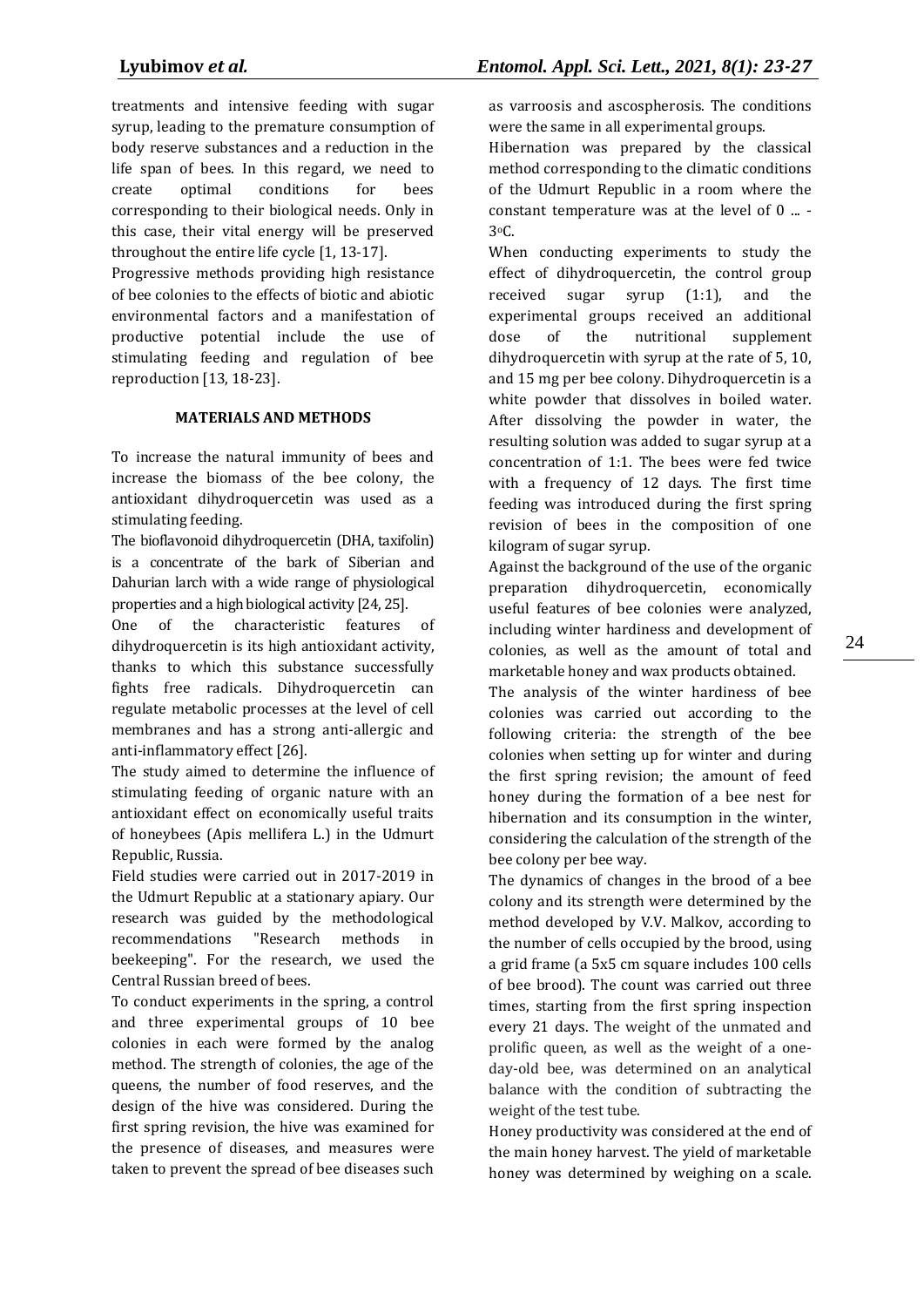treatments and intensive feeding with sugar syrup, leading to the premature consumption of body reserve substances and a reduction in the life span of bees. In this regard, we need to create optimal conditions for bees corresponding to their biological needs. Only in this case, their vital energy will be preserved throughout the entire life cycle [1, 13-17].

Progressive methods providing high resistance of bee colonies to the effects of biotic and abiotic environmental factors and a manifestation of productive potential include the use of stimulating feeding and regulation of bee reproduction [13, 18-23].

# **MATERIALS AND METHODS**

To increase the natural immunity of bees and increase the biomass of the bee colony, the antioxidant dihydroquercetin was used as a stimulating feeding.

The bioflavonoid dihydroquercetin (DHA, taxifolin) is a concentrate of the bark of Siberian and Dahurian larch with a wide range of physiological properties and a high biological activity [24, 25].

One of the characteristic features of dihydroquercetin is its high antioxidant activity, thanks to which this substance successfully fights free radicals. Dihydroquercetin can regulate metabolic processes at the level of cell membranes and has a strong anti-allergic and anti-inflammatory effect [26].

The study aimed to determine the influence of stimulating feeding of organic nature with an antioxidant effect on economically useful traits of honeybees (Apis mellifera L.) in the Udmurt Republic, Russia.

Field studies were carried out in 2017-2019 in the Udmurt Republic at a stationary apiary. Our research was guided by the methodological recommendations "Research methods in beekeeping". For the research, we used the Central Russian breed of bees.

To conduct experiments in the spring, a control and three experimental groups of 10 bee colonies in each were formed by the analog method. The strength of colonies, the age of the queens, the number of food reserves, and the design of the hive was considered. During the first spring revision, the hive was examined for the presence of diseases, and measures were taken to prevent the spread of bee diseases such as varroosis and ascospherosis. The conditions were the same in all experimental groups.

Hibernation was prepared by the classical method corresponding to the climatic conditions of the Udmurt Republic in a room where the constant temperature was at the level of 0 ... - 3oC.

When conducting experiments to study the effect of dihydroquercetin, the control group received sugar syrup (1:1), and the experimental groups received an additional dose of the nutritional supplement dihydroquercetin with syrup at the rate of 5, 10, and 15 mg per bee colony. Dihydroquercetin is a white powder that dissolves in boiled water. After dissolving the powder in water, the resulting solution was added to sugar syrup at a concentration of 1:1. The bees were fed twice with a frequency of 12 days. The first time feeding was introduced during the first spring revision of bees in the composition of one kilogram of sugar syrup.

Against the background of the use of the organic preparation dihydroquercetin, economically useful features of bee colonies were analyzed, including winter hardiness and development of colonies, as well as the amount of total and marketable honey and wax products obtained.

The analysis of the winter hardiness of bee colonies was carried out according to the following criteria: the strength of the bee colonies when setting up for winter and during the first spring revision; the amount of feed honey during the formation of a bee nest for hibernation and its consumption in the winter, considering the calculation of the strength of the bee colony per bee way.

The dynamics of changes in the brood of a bee colony and its strength were determined by the method developed by V.V. Malkov, according to the number of cells occupied by the brood, using a grid frame (a 5x5 cm square includes 100 cells of bee brood). The count was carried out three times, starting from the first spring inspection every 21 days. The weight of the unmated and prolific queen, as well as the weight of a oneday-old bee, was determined on an analytical balance with the condition of subtracting the weight of the test tube.

Honey productivity was considered at the end of the main honey harvest. The yield of marketable honey was determined by weighing on a scale.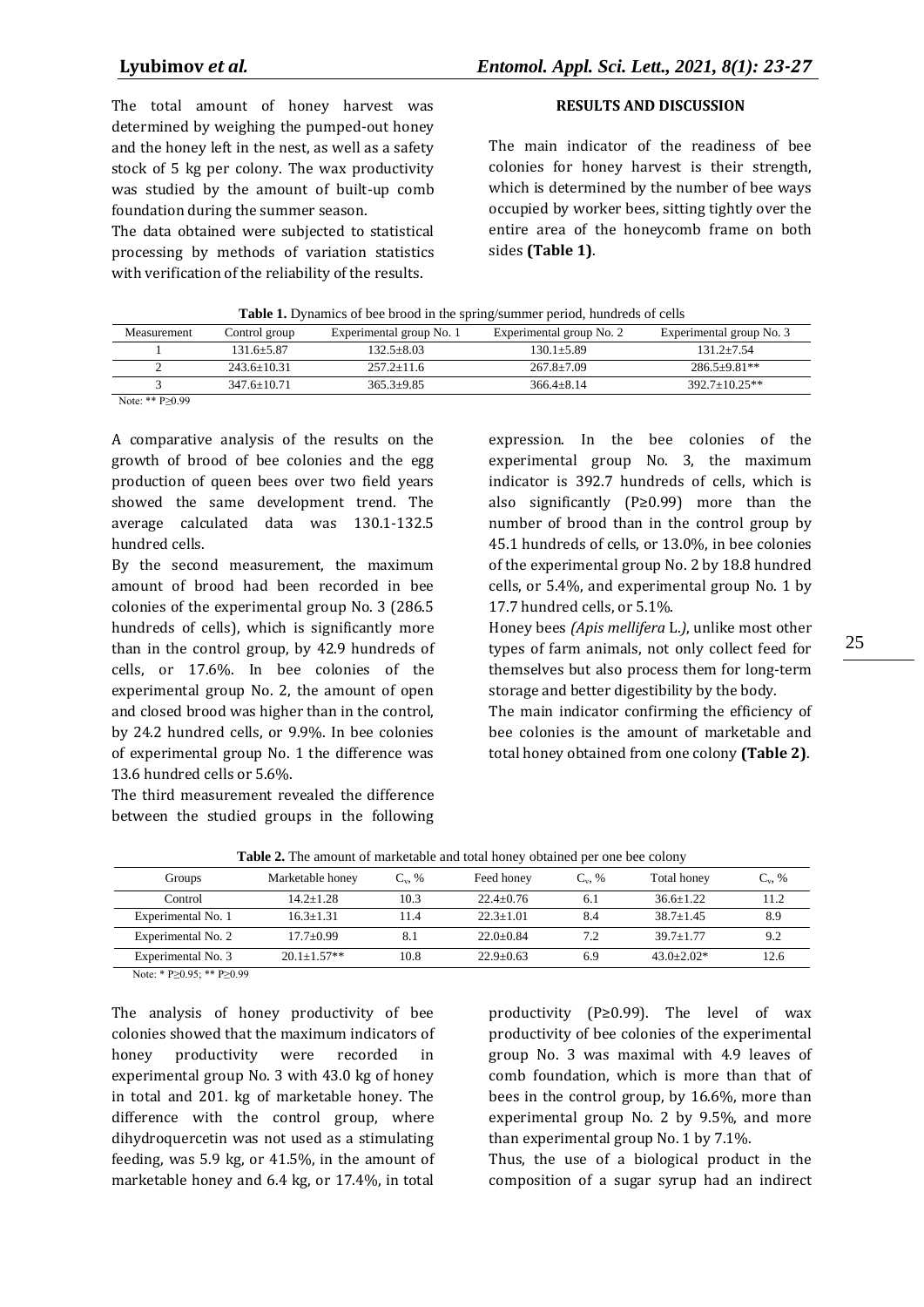The total amount of honey harvest was determined by weighing the pumped-out honey and the honey left in the nest, as well as a safety stock of 5 kg per colony. The wax productivity was studied by the amount of built-up comb foundation during the summer season.

The data obtained were subjected to statistical processing by methods of variation statistics with verification of the reliability of the results.

# **RESULTS AND DISCUSSION**

The main indicator of the readiness of bee colonies for honey harvest is their strength, which is determined by the number of bee ways occupied by worker bees, sitting tightly over the entire area of the honeycomb frame on both sides **(Table 1)**.

|  |  |  |  | <b>Table 1.</b> Dynamics of bee brood in the spring/summer period, hundreds of cells |  |
|--|--|--|--|--------------------------------------------------------------------------------------|--|
|  |  |  |  |                                                                                      |  |

| Measurement | Control group   | Experimental group No. 1 | Experimental group No. 2 | Experimental group No. 3 |
|-------------|-----------------|--------------------------|--------------------------|--------------------------|
|             | 131.6+5.87      | $132.5 + 8.03$           | $130.1 + 5.89$           | $131.2 + 7.54$           |
|             | $243.6 + 10.31$ | $257.2 + 11.6$           | $267.8 + 7.09$           | $286.5+9.81**$           |
|             | $347.6 + 10.71$ | $365.3 + 9.85$           | $366.4 + 8.14$           | $392.7+10.25**$          |

Note: \*\* P≥0.99

A comparative analysis of the results on the growth of brood of bee colonies and the egg production of queen bees over two field years showed the same development trend. The average calculated data was 130.1-132.5 hundred cells.

By the second measurement, the maximum amount of brood had been recorded in bee colonies of the experimental group No. 3 (286.5 hundreds of cells), which is significantly more than in the control group, by 42.9 hundreds of cells, or 17.6%. In bee colonies of the experimental group No. 2, the amount of open and closed brood was higher than in the control, by 24.2 hundred cells, or 9.9%. In bee colonies of experimental group No. 1 the difference was 13.6 hundred cells or 5.6%.

The third measurement revealed the difference between the studied groups in the following

expression. In the bee colonies of the experimental group No. 3, the maximum indicator is 392.7 hundreds of cells, which is also significantly (P≥0.99) more than the number of brood than in the control group by 45.1 hundreds of cells, or 13.0%, in bee colonies of the experimental group No. 2 by 18.8 hundred cells, or 5.4%, and experimental group No. 1 by 17.7 hundred cells, or 5.1%.

Honey bees *(Apis mellifera* L.*)*, unlike most other types of farm animals, not only collect feed for themselves but also process them for long-term storage and better digestibility by the body.

The main indicator confirming the efficiency of bee colonies is the amount of marketable and total honey obtained from one colony **(Table 2)**.

| <b>THOICE.</b> The amount of maintains and total hone, countried per one ever colon |                  |             |               |             |               |             |  |  |
|-------------------------------------------------------------------------------------|------------------|-------------|---------------|-------------|---------------|-------------|--|--|
| Groups                                                                              | Marketable honey | $C_{v}$ , % | Feed honey    | $C_{v}$ , % | Total honey   | $C_{v}$ , % |  |  |
| Control                                                                             | $14.2 + 1.28$    | 10.3        | $22.4 + 0.76$ | 6.1         | $36.6 + 1.22$ | l 1.2       |  |  |
| Experimental No. 1                                                                  | $16.3 + 1.31$    | 11.4        | $22.3 + 1.01$ | 8.4         | $38.7 + 1.45$ | 8.9         |  |  |
| Experimental No. 2                                                                  | $17.7 + 0.99$    | -8. I       | $22.0+0.84$   | 7.2         | $39.7 + 1.77$ | 9.2         |  |  |
| Experimental No. 3                                                                  | $20.1 + 1.57**$  | 10.8        | $22.9 + 0.63$ | 6.9         | $43.0+2.02*$  | 12.6        |  |  |

**Table 2.** The amount of marketable and total honey obtained per one bee colony

Note: \* P≥0.95; \*\* P≥0.99

The analysis of honey productivity of bee colonies showed that the maximum indicators of honey productivity were recorded in experimental group No. 3 with 43.0 kg of honey in total and 201. kg of marketable honey. The difference with the control group, where dihydroquercetin was not used as a stimulating feeding, was 5.9 kg, or 41.5%, in the amount of marketable honey and 6.4 kg, or 17.4%, in total

productivity (P≥0.99). The level of wax productivity of bee colonies of the experimental group No. 3 was maximal with 4.9 leaves of comb foundation, which is more than that of bees in the control group, by 16.6%, more than experimental group No. 2 by 9.5%, and more than experimental group No. 1 by 7.1%.

Thus, the use of a biological product in the composition of a sugar syrup had an indirect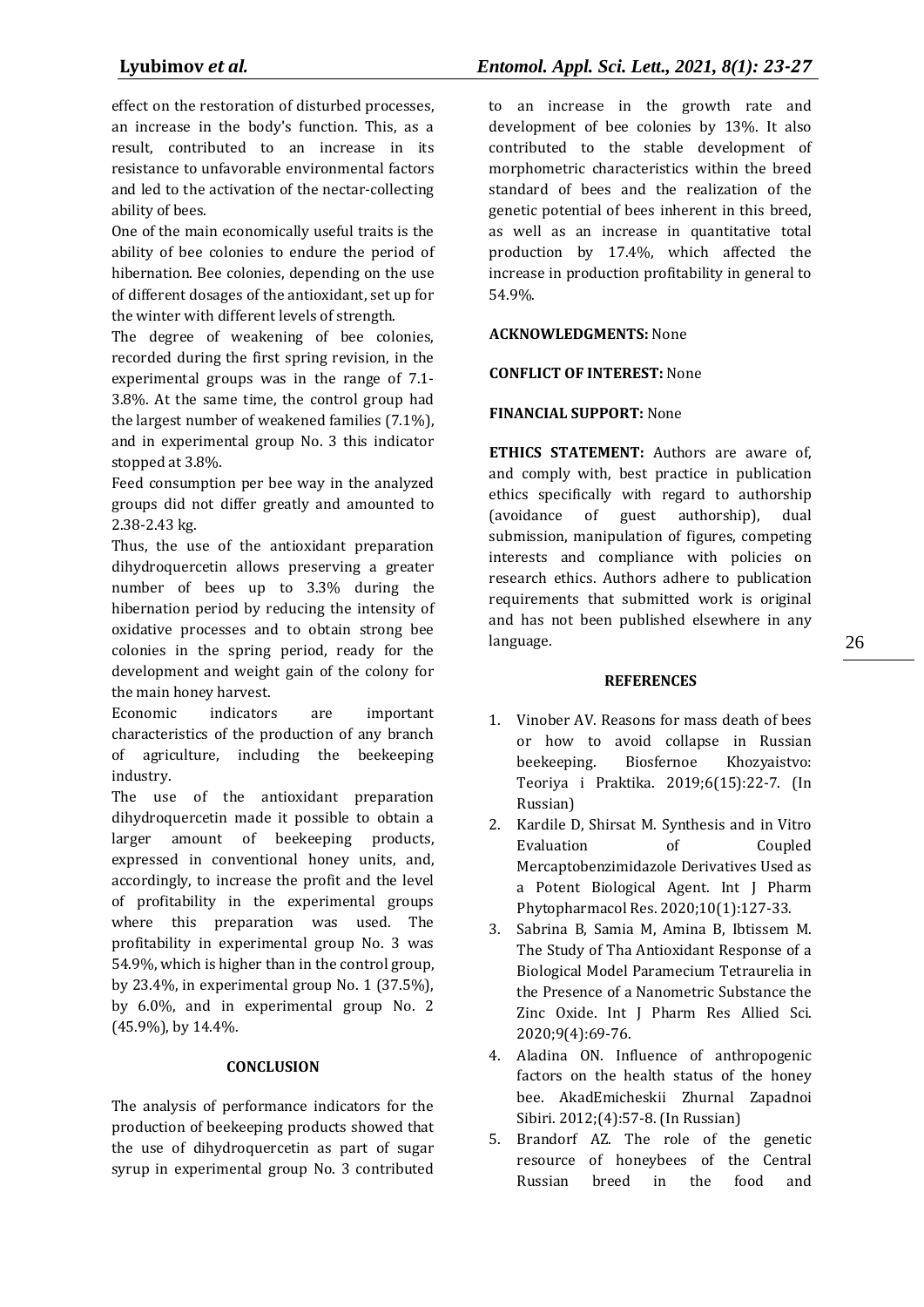effect on the restoration of disturbed processes, an increase in the body's function. This, as a result, contributed to an increase in its resistance to unfavorable environmental factors and led to the activation of the nectar-collecting ability of bees.

One of the main economically useful traits is the ability of bee colonies to endure the period of hibernation. Bee colonies, depending on the use of different dosages of the antioxidant, set up for the winter with different levels of strength.

The degree of weakening of bee colonies, recorded during the first spring revision, in the experimental groups was in the range of 7.1- 3.8%. At the same time, the control group had the largest number of weakened families (7.1%), and in experimental group No. 3 this indicator stopped at 3.8%.

Feed consumption per bee way in the analyzed groups did not differ greatly and amounted to 2.38-2.43 kg.

Thus, the use of the antioxidant preparation dihydroquercetin allows preserving a greater number of bees up to 3.3% during the hibernation period by reducing the intensity of oxidative processes and to obtain strong bee colonies in the spring period, ready for the development and weight gain of the colony for the main honey harvest.

Economic indicators are important characteristics of the production of any branch of agriculture, including the beekeeping industry.

The use of the antioxidant preparation dihydroquercetin made it possible to obtain a larger amount of beekeeping products, expressed in conventional honey units, and, accordingly, to increase the profit and the level of profitability in the experimental groups where this preparation was used. The profitability in experimental group No. 3 was 54.9%, which is higher than in the control group, by 23.4%, in experimental group No. 1 (37.5%), by 6.0%, and in experimental group No. 2 (45.9%), by 14.4%.

# **CONCLUSION**

The analysis of performance indicators for the production of beekeeping products showed that the use of dihydroquercetin as part of sugar syrup in experimental group No. 3 contributed

to an increase in the growth rate and development of bee colonies by 13%. It also contributed to the stable development of morphometric characteristics within the breed standard of bees and the realization of the genetic potential of bees inherent in this breed, as well as an increase in quantitative total production by 17.4%, which affected the increase in production profitability in general to 54.9%.

# **ACKNOWLEDGMENTS:** None

#### **CONFLICT OF INTEREST:** None

# **FINANCIAL SUPPORT:** None

**ETHICS STATEMENT:** Authors are aware of, and comply with, best practice in publication ethics specifically with regard to authorship (avoidance of guest authorship), dual submission, manipulation of figures, competing interests and compliance with policies on research ethics. Authors adhere to publication requirements that submitted work is original and has not been published elsewhere in any language.

#### **REFERENCES**

- 1. Vinober AV. Reasons for mass death of bees or how to avoid collapse in Russian beekeeping. Biosfernoe Khozyaistvo: Teoriya i Praktika. 2019;6(15):22-7. (In Russian)
- 2. Kardile D, Shirsat M. Synthesis and in Vitro Evaluation of Coupled Mercaptobenzimidazole Derivatives Used as a Potent Biological Agent. Int J Pharm Phytopharmacol Res. 2020;10(1):127-33.
- 3. Sabrina B, Samia M, Amina B, Ibtissem M. The Study of Tha Antioxidant Response of a Biological Model Paramecium Tetraurelia in the Presence of a Nanometric Substance the Zinc Oxide. Int J Pharm Res Allied Sci. 2020;9(4):69-76.
- 4. Aladina ON. Influence of anthropogenic factors on the health status of the honey bee. AkadEmicheskii Zhurnal Zapadnoi Sibiri. 2012;(4):57-8. (In Russian)
- 5. Brandorf AZ. The role of the genetic resource of honeybees of the Central Russian breed in the food and